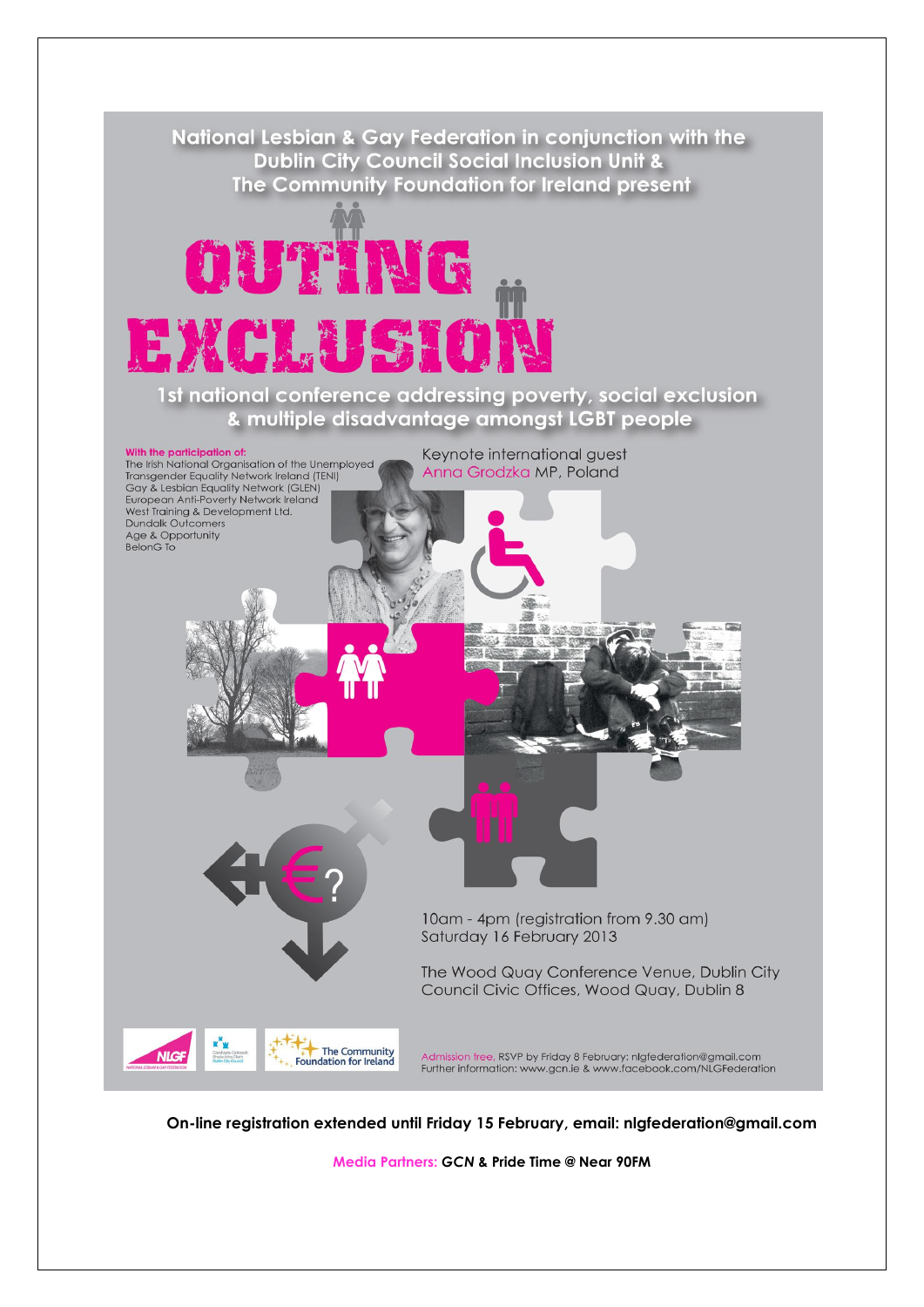

**On-line registration extended until Friday 15 February, email: nlgfederation@gmail.com**

**Media Partners:** *GCN* **& Pride Time @ Near 90FM**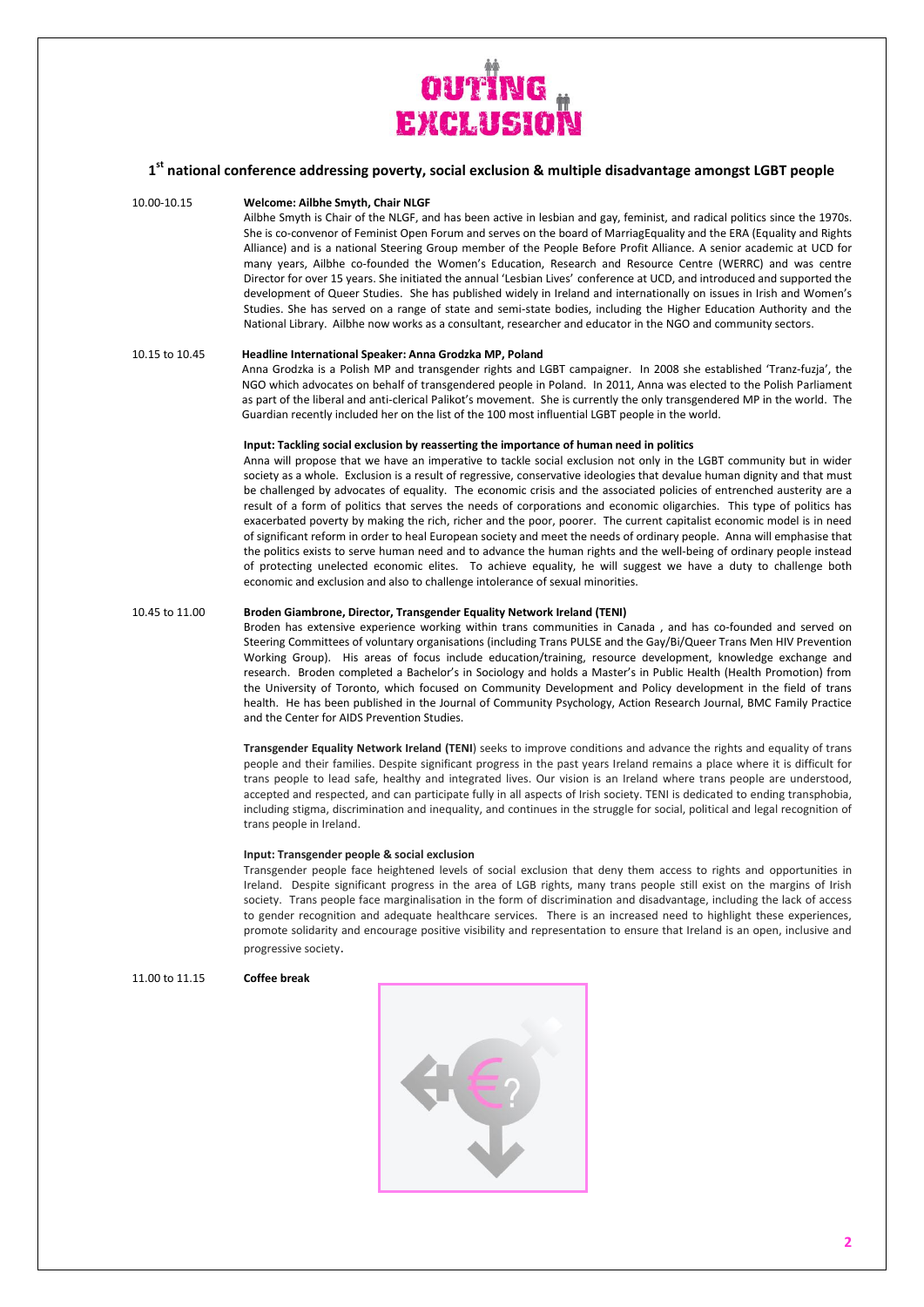

# **1 st national conference addressing poverty, social exclusion & multiple disadvantage amongst LGBT people**

## 10.00-10.15 **Welcome: Ailbhe Smyth, Chair NLGF**

Ailbhe Smyth is Chair of the NLGF, and has been active in lesbian and gay, feminist, and radical politics since the 1970s. She is co-convenor of Feminist Open Forum and serves on the board of MarriagEquality and the ERA (Equality and Rights Alliance) and is a national Steering Group member of the People Before Profit Alliance. A senior academic at UCD for many years, Ailbhe co-founded the Women's Education, Research and Resource Centre (WERRC) and was centre Director for over 15 years. She initiated the annual 'Lesbian Lives' conference at UCD, and introduced and supported the development of Queer Studies. She has published widely in Ireland and internationally on issues in Irish and Women's Studies. She has served on a range of state and semi-state bodies, including the Higher Education Authority and the National Library. Ailbhe now works as a consultant, researcher and educator in the NGO and community sectors.

## 10.15 to 10.45 **Headline International Speaker: Anna Grodzka MP, Poland**

Anna Grodzka is a Polish MP and transgender rights and LGBT campaigner. In 2008 she established 'Tranz-fuzja', the NGO which advocates on behalf of transgendered people in Poland. In 2011, Anna was elected to the Polish Parliament as part of the liberal and anti-clerical Palikot's movement. She is currently the only transgendered MP in the world. The Guardian recently included her on the list of the 100 most influential LGBT people in the world.

#### **Input: Tackling social exclusion by reasserting the importance of human need in politics**

Anna will propose that we have an imperative to tackle social exclusion not only in the LGBT community but in wider society as a whole. Exclusion is a result of regressive, conservative ideologies that devalue human dignity and that must be challenged by advocates of equality. The economic crisis and the associated policies of entrenched austerity are a result of a form of politics that serves the needs of corporations and economic oligarchies. This type of politics has exacerbated poverty by making the rich, richer and the poor, poorer. The current capitalist economic model is in need of significant reform in order to heal European society and meet the needs of ordinary people. Anna will emphasise that the politics exists to serve human need and to advance the human rights and the well-being of ordinary people instead of protecting unelected economic elites. To achieve equality, he will suggest we have a duty to challenge both economic and exclusion and also to challenge intolerance of sexual minorities.

### 10.45 to 11.00 **Broden Giambrone, Director, Transgender Equality Network Ireland (TENI)**

Broden has extensive experience working within trans communities in Canada , and has co-founded and served on Steering Committees of voluntary organisations (including [Trans PULSE](http://www.transpulseproject.ca/) and th[e Gay/Bi/Queer Trans Men HIV Prevention](http://www.queertransmen.org/)  [Working Group\)](http://www.queertransmen.org/). His areas of focus include education/training, resource development, knowledge exchange and research. Broden completed a Bachelor's in Sociology and holds a Master's in Public Health (Health Promotion) from the University of Toronto, which focused on Community Development and Policy development in the field of trans health. He has been published in the Journal of Community Psychology, Action Research Journal, BMC Family Practice and the Center for AIDS Prevention Studies.

**Transgender Equality Network Ireland (TENI**) seeks to improve conditions and advance the rights and equality of trans people and their families. Despite significant progress in the past years Ireland remains a place where it is difficult for trans people to lead safe, healthy and integrated lives. Our vision is an Ireland where trans people are understood, accepted and respected, and can participate fully in all aspects of Irish society. TENI is dedicated to ending transphobia, including stigma, discrimination and inequality, and continues in the struggle for social, political and legal recognition of trans people in Ireland.

## **Input: Transgender people & social exclusion**

Transgender people face heightened levels of social exclusion that deny them access to rights and opportunities in Ireland. Despite significant progress in the area of LGB rights, many trans people still exist on the margins of Irish society. Trans people face marginalisation in the form of discrimination and disadvantage, including the lack of access to gender recognition and adequate healthcare services. There is an increased need to highlight these experiences, promote solidarity and encourage positive visibility and representation to ensure that Ireland is an open, inclusive and progressive society.

#### 11.00 to 11.15 **Coffee break**

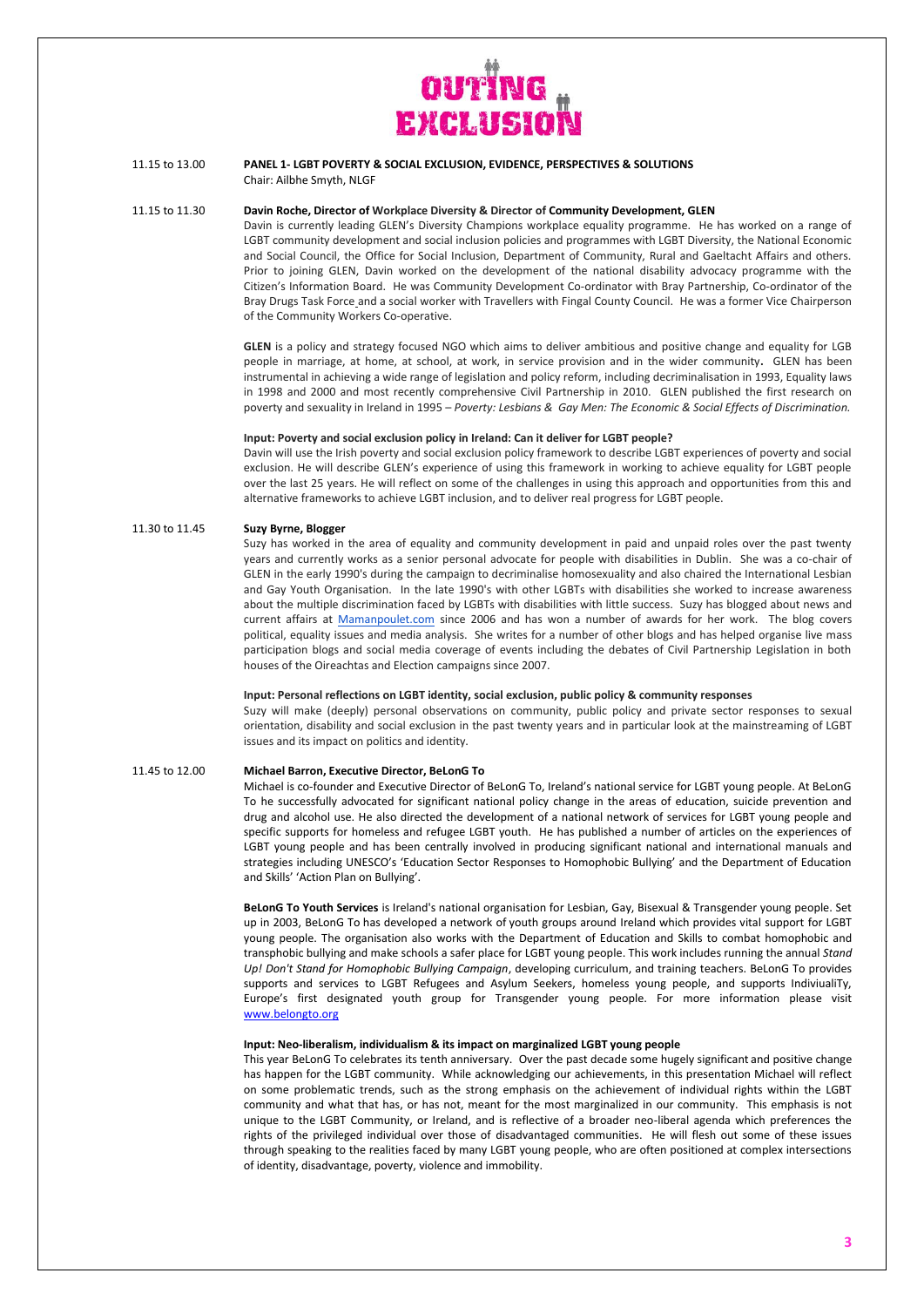

## 11.15 to 13.00 **PANEL 1- LGBT POVERTY & SOCIAL EXCLUSION, EVIDENCE, PERSPECTIVES & SOLUTIONS** Chair: Ailbhe Smyth, NLGF

## 11.15 to 11.30 **Davin Roche, Director of Workplace Diversity & Director of Community Development, GLEN**

Davin is currently leading GLEN's Diversity Champions workplace equality programme. He has worked on a range of LGBT community development and social inclusion policies and programmes with LGBT Diversity, the National Economic and Social Council, the Office for Social Inclusion, Department of Community, Rural and Gaeltacht Affairs and others. Prior to joining GLEN, Davin worked on the development of the national disability advocacy programme with the Citizen's Information Board. He was Community Development Co-ordinator with Bray Partnership, Co-ordinator of the Bray Drugs Task Force and a social worker with Travellers with Fingal County Council. He was a former Vice Chairperson of the Community Workers Co-operative.

**GLEN** is a policy and strategy focused NGO which aims to deliver ambitious and positive change and equality for LGB people in marriage, at home, at school, at work, in service provision and in the wider community**.** GLEN has been instrumental in achieving a wide range of legislation and policy reform, including decriminalisation in 1993, Equality laws in 1998 and 2000 and most recently comprehensive Civil Partnership in 2010. GLEN published the first research on poverty and sexuality in Ireland in 1995 – *Poverty: Lesbians & Gay Men: The Economic & Social Effects of Discrimination.*

#### **Input: Poverty and social exclusion policy in Ireland: Can it deliver for LGBT people?**

Davin will use the Irish poverty and social exclusion policy framework to describe LGBT experiences of poverty and social exclusion. He will describe GLEN's experience of using this framework in working to achieve equality for LGBT people over the last 25 years. He will reflect on some of the challenges in using this approach and opportunities from this and alternative frameworks to achieve LGBT inclusion, and to deliver real progress for LGBT people.

#### 11.30 to 11.45 **Suzy Byrne, Blogger**

Suzy has worked in the area of equality and community development in paid and unpaid roles over the past twenty years and currently works as a senior personal advocate for people with disabilities in Dublin. She was a co-chair of GLEN in the early 1990's during the campaign to decriminalise homosexuality and also chaired the International Lesbian and Gay Youth Organisation. In the late 1990's with other LGBTs with disabilities she worked to increase awareness about the multiple discrimination faced by LGBTs with disabilities with little success. Suzy has blogged about news and current affairs at [Mamanpoulet.com](http://mamanpoulet.com/) since 2006 and has won a number of awards for her work. The blog covers political, equality issues and media analysis. She writes for a number of other blogs and has helped organise live mass participation blogs and social media coverage of events including the debates of Civil Partnership Legislation in both houses of the Oireachtas and Election campaigns since 2007.

#### **Input: Personal reflections on LGBT identity, social exclusion, public policy & community responses**

Suzy will make (deeply) personal observations on community, public policy and private sector responses to sexual orientation, disability and social exclusion in the past twenty years and in particular look at the mainstreaming of LGBT issues and its impact on politics and identity.

## 11.45 to 12.00 **Michael Barron, Executive Director, BeLonG To**

Michael is co-founder and Executive Director of BeLonG To, Ireland's national service for LGBT young people. At BeLonG To he successfully advocated for significant national policy change in the areas of education, suicide prevention and drug and alcohol use. He also directed the development of a national network of services for LGBT young people and specific supports for homeless and refugee LGBT youth. He has published a number of articles on the experiences of LGBT young people and has been centrally involved in producing significant national and international manuals and strategies including UNESCO's 'Education Sector Responses to Homophobic Bullying' and the Department of Education and Skills' 'Action Plan on Bullying'.

**BeLonG To Youth Services** is Ireland's national organisation for Lesbian, Gay, Bisexual & Transgender young people. Set up in 2003, BeLonG To has developed a network of youth groups around Ireland which provides vital support for LGBT young people. The organisation also works with the Department of Education and Skills to combat homophobic and transphobic bullying and make schools a safer place for LGBT young people. This work includes running the annual *Stand Up! Don't Stand for Homophobic Bullying Campaign*, developing curriculum, and training teachers. BeLonG To provides supports and services to LGBT Refugees and Asylum Seekers, homeless young people, and supports IndiviualiTy, Europe's first designated youth group for Transgender young people. For more information please visit [www.belongto.org](http://www.belongto.org/)

## **Input: Neo-liberalism, individualism & its impact on marginalized LGBT young people**

This year BeLonG To celebrates its tenth anniversary. Over the past decade some hugely significant and positive change has happen for the LGBT community. While acknowledging our achievements, in this presentation Michael will reflect on some problematic trends, such as the strong emphasis on the achievement of individual rights within the LGBT community and what that has, or has not, meant for the most marginalized in our community. This emphasis is not unique to the LGBT Community, or Ireland, and is reflective of a broader neo-liberal agenda which preferences the rights of the privileged individual over those of disadvantaged communities. He will flesh out some of these issues through speaking to the realities faced by many LGBT young people, who are often positioned at complex intersections of identity, disadvantage, poverty, violence and immobility.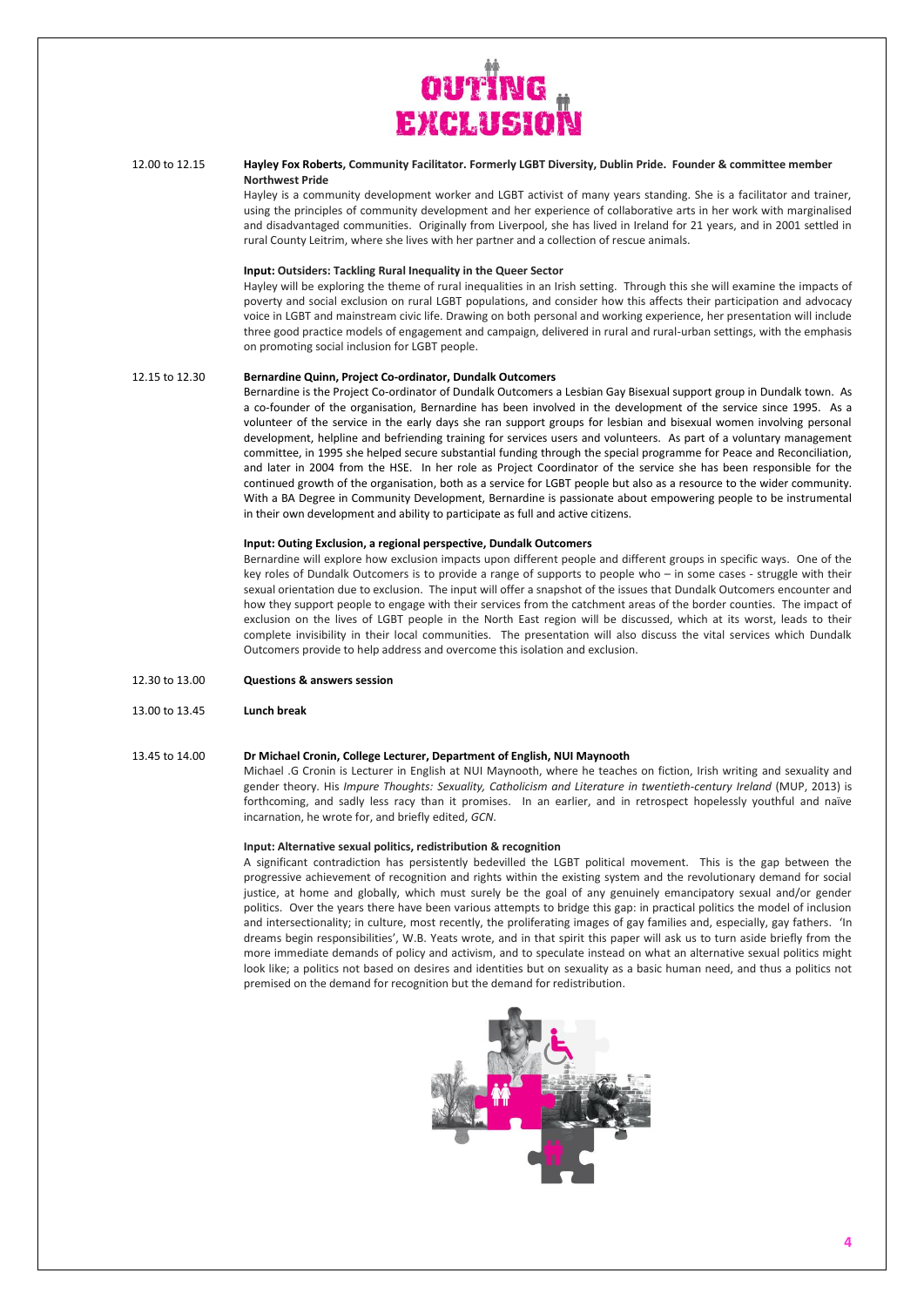

### 12.00 to 12.15 **Hayley Fox Roberts, Community Facilitator. Formerly LGBT Diversity, Dublin Pride. Founder & committee member Northwest Pride**

Hayley is a community development worker and LGBT activist of many years standing. She is a facilitator and trainer, using the principles of community development and her experience of collaborative arts in her work with marginalised and disadvantaged communities. Originally from Liverpool, she has lived in Ireland for 21 years, and in 2001 settled in rural County Leitrim, where she lives with her partner and a collection of rescue animals.

## **Input: Outsiders: Tackling Rural Inequality in the Queer Sector**

Hayley will be exploring the theme of rural inequalities in an Irish setting. Through this she will examine the impacts of poverty and social exclusion on rural LGBT populations, and consider how this affects their participation and advocacy voice in LGBT and mainstream civic life. Drawing on both personal and working experience, her presentation will include three good practice models of engagement and campaign, delivered in rural and rural-urban settings, with the emphasis on promoting social inclusion for LGBT people.

## 12.15 to 12.30 **Bernardine Quinn, Project Co-ordinator, Dundalk Outcomers**

Bernardine is the Project Co-ordinator of Dundalk Outcomers a Lesbian Gay Bisexual support group in Dundalk town. As a co-founder of the organisation, Bernardine has been involved in the development of the service since 1995. As a volunteer of the service in the early days she ran support groups for lesbian and bisexual women involving personal development, helpline and befriending training for services users and volunteers. As part of a voluntary management committee, in 1995 she helped secure substantial funding through the special programme for Peace and Reconciliation, and later in 2004 from the HSE. In her role as Project Coordinator of the service she has been responsible for the continued growth of the organisation, both as a service for LGBT people but also as a resource to the wider community. With a BA Degree in Community Development, Bernardine is passionate about empowering people to be instrumental in their own development and ability to participate as full and active citizens.

#### **Input: Outing Exclusion, a regional perspective, Dundalk Outcomers**

Bernardine will explore how exclusion impacts upon different people and different groups in specific ways. One of the key roles of Dundalk Outcomers is to provide a range of supports to people who – in some cases - struggle with their sexual orientation due to exclusion. The input will offer a snapshot of the issues that Dundalk Outcomers encounter and how they support people to engage with their services from the catchment areas of the border counties. The impact of exclusion on the lives of LGBT people in the North East region will be discussed, which at its worst, leads to their complete invisibility in their local communities. The presentation will also discuss the vital services which Dundalk Outcomers provide to help address and overcome this isolation and exclusion.

- 12.30 to 13.00 **Questions & answers session**
- 13.00 to 13.45 **Lunch break**

## 13.45 to 14.00 **Dr Michael Cronin, College Lecturer, Department of English, NUI Maynooth**

Michael .G Cronin is Lecturer in English at NUI Maynooth, where he teaches on fiction, Irish writing and sexuality and gender theory. His *Impure Thoughts: Sexuality, Catholicism and Literature in twentieth-century Ireland* (MUP, 2013) is forthcoming, and sadly less racy than it promises. In an earlier, and in retrospect hopelessly youthful and naïve incarnation, he wrote for, and briefly edited, *GCN*.

#### **Input: Alternative sexual politics, redistribution & recognition**

A significant contradiction has persistently bedevilled the LGBT political movement. This is the gap between the progressive achievement of recognition and rights within the existing system and the revolutionary demand for social justice, at home and globally, which must surely be the goal of any genuinely emancipatory sexual and/or gender politics. Over the years there have been various attempts to bridge this gap: in practical politics the model of inclusion and intersectionality; in culture, most recently, the proliferating images of gay families and, especially, gay fathers.'In dreams begin responsibilities', W.B. Yeats wrote, and in that spirit this paper will ask us to turn aside briefly from the more immediate demands of policy and activism, and to speculate instead on what an alternative sexual politics might look like; a politics not based on desires and identities but on sexuality as a basic human need, and thus a politics not premised on the demand for recognition but the demand for redistribution.

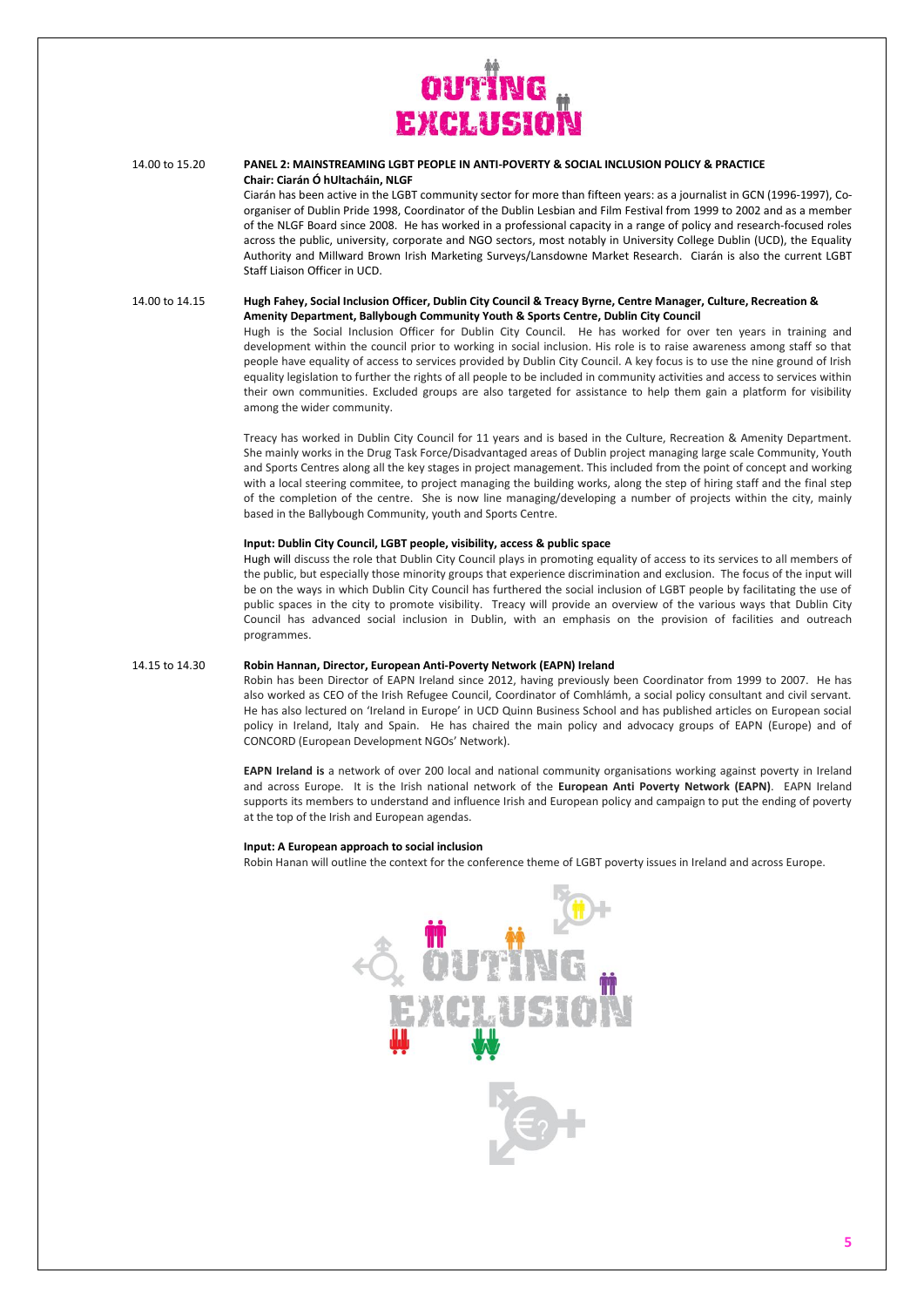

## 14.00 to 15.20 **PANEL 2: MAINSTREAMING LGBT PEOPLE IN ANTI-POVERTY & SOCIAL INCLUSION POLICY & PRACTICE Chair: Ciarán Ó hUltacháin, NLGF**

Ciarán has been active in the LGBT community sector for more than fifteen years: as a journalist in GCN (1996-1997), Coorganiser of Dublin Pride 1998, Coordinator of the Dublin Lesbian and Film Festival from 1999 to 2002 and as a member of the NLGF Board since 2008. He has worked in a professional capacity in a range of policy and research-focused roles across the public, university, corporate and NGO sectors, most notably in University College Dublin (UCD), the Equality Authority and Millward Brown Irish Marketing Surveys/Lansdowne Market Research. Ciarán is also the current LGBT Staff Liaison Officer in UCD.

14.00 to 14.15 **Hugh Fahey, Social Inclusion Officer, Dublin City Council & Treacy Byrne, Centre Manager, Culture, Recreation & Amenity Department, Ballybough Community Youth & Sports Centre, Dublin City Council**

> Hugh is the Social Inclusion Officer for Dublin City Council. He has worked for over ten years in training and development within the council prior to working in social inclusion. His role is to raise awareness among staff so that people have equality of access to services provided by Dublin City Council. A key focus is to use the nine ground of Irish equality legislation to further the rights of all people to be included in community activities and access to services within their own communities. Excluded groups are also targeted for assistance to help them gain a platform for visibility among the wider community.

> Treacy has worked in Dublin City Council for 11 years and is based in the Culture, Recreation & Amenity Department. She mainly works in the Drug Task Force/Disadvantaged areas of Dublin project managing large scale Community, Youth and Sports Centres along all the key stages in project management. This included from the point of concept and working with a local steering commitee, to project managing the building works, along the step of hiring staff and the final step of the completion of the centre. She is now line managing/developing a number of projects within the city, mainly based in the Ballybough Community, youth and Sports Centre.

## **Input: Dublin City Council, LGBT people, visibility, access & public space**

Hugh will discuss the role that Dublin City Council plays in promoting equality of access to its services to all members of the public, but especially those minority groups that experience discrimination and exclusion. The focus of the input will be on the ways in which Dublin City Council has furthered the social inclusion of LGBT people by facilitating the use of public spaces in the city to promote visibility. Treacy will provide an overview of the various ways that Dublin City Council has advanced social inclusion in Dublin, with an emphasis on the provision of facilities and outreach programmes.

#### 14.15 to 14.30 **Robin Hannan, Director, European Anti-Poverty Network (EAPN) Ireland**

Robin has been Director of EAPN Ireland since 2012, having previously been Coordinator from 1999 to 2007. He has also worked as CEO of the Irish Refugee Council, Coordinator of Comhlámh, a social policy consultant and civil servant. He has also lectured on 'Ireland in Europe' in UCD Quinn Business School and has published articles on European social policy in Ireland, Italy and Spain. He has chaired the main policy and advocacy groups of EAPN (Europe) and of CONCORD (European Development NGOs' Network).

**EAPN Ireland is** a network of over 200 local and national community organisations working against poverty in Ireland and across Europe. It is the Irish national network of the **European Anti Poverty Network (EAPN)**. EAPN Ireland supports its members to understand and influence Irish and European policy and campaign to put the ending of poverty at the top of the Irish and European agendas.

#### **Input: A European approach to social inclusion**

Robin Hanan will outline the context for the conference theme of LGBT poverty issues in Ireland and across Europe.